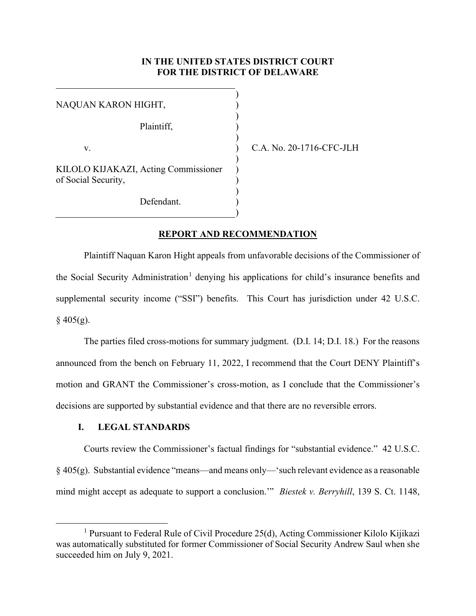## **IN THE UNITED STATES DISTRICT COURT FOR THE DISTRICT OF DELAWARE**

| NAQUAN KARON HIGHT,                                         |  |
|-------------------------------------------------------------|--|
| Plaintiff,                                                  |  |
| V.                                                          |  |
| KILOLO KIJAKAZI, Acting Commissioner<br>of Social Security, |  |
| Defendant.                                                  |  |

C.A. No. 20-1716-CFC-JLH

#### **REPORT AND RECOMMENDATION**

Plaintiff Naquan Karon Hight appeals from unfavorable decisions of the Commissioner of the Social Security Administration<sup>[1](#page-0-0)</sup> denying his applications for child's insurance benefits and supplemental security income ("SSI") benefits. This Court has jurisdiction under 42 U.S.C.  $§$  405(g).

The parties filed cross-motions for summary judgment. (D.I. 14; D.I. 18.) For the reasons announced from the bench on February 11, 2022, I recommend that the Court DENY Plaintiff's motion and GRANT the Commissioner's cross-motion, as I conclude that the Commissioner's decisions are supported by substantial evidence and that there are no reversible errors.

# **I. LEGAL STANDARDS**

Courts review the Commissioner's factual findings for "substantial evidence." 42 U.S.C.  $\S$  405(g). Substantial evidence "means—and means only—'such relevant evidence as a reasonable mind might accept as adequate to support a conclusion.'" *Biestek v. Berryhill*, 139 S. Ct. 1148,

<span id="page-0-0"></span><sup>&</sup>lt;sup>1</sup> Pursuant to Federal Rule of Civil Procedure 25(d), Acting Commissioner Kilolo Kijikazi was automatically substituted for former Commissioner of Social Security Andrew Saul when she succeeded him on July 9, 2021.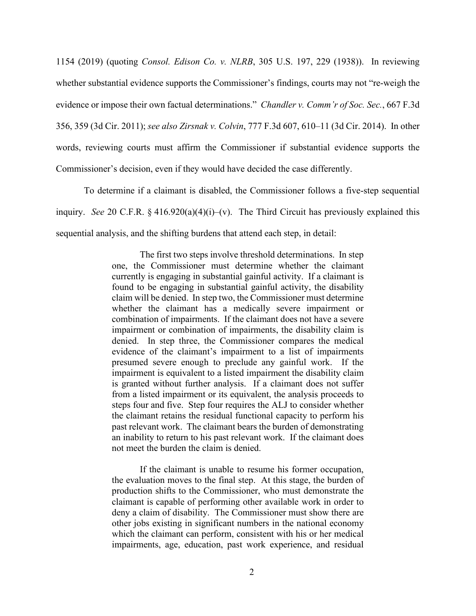1154 (2019) (quoting *Consol. Edison Co. v. NLRB*, 305 U.S. 197, 229 (1938)). In reviewing whether substantial evidence supports the Commissioner's findings, courts may not "re-weigh the evidence or impose their own factual determinations." *Chandler v. Comm'r of Soc. Sec.*, 667 F.3d 356, 359 (3d Cir. 2011); *see also Zirsnak v. Colvin*, 777 F.3d 607, 610–11 (3d Cir. 2014). In other words, reviewing courts must affirm the Commissioner if substantial evidence supports the Commissioner's decision, even if they would have decided the case differently.

To determine if a claimant is disabled, the Commissioner follows a five-step sequential inquiry. *See* 20 C.F.R. § 416.920(a)(4)(i)–(v). The Third Circuit has previously explained this sequential analysis, and the shifting burdens that attend each step, in detail:

> The first two steps involve threshold determinations. In step one, the Commissioner must determine whether the claimant currently is engaging in substantial gainful activity. If a claimant is found to be engaging in substantial gainful activity, the disability claim will be denied. In step two, the Commissioner must determine whether the claimant has a medically severe impairment or combination of impairments. If the claimant does not have a severe impairment or combination of impairments, the disability claim is denied. In step three, the Commissioner compares the medical evidence of the claimant's impairment to a list of impairments presumed severe enough to preclude any gainful work. If the impairment is equivalent to a listed impairment the disability claim is granted without further analysis. If a claimant does not suffer from a listed impairment or its equivalent, the analysis proceeds to steps four and five. Step four requires the ALJ to consider whether the claimant retains the residual functional capacity to perform his past relevant work. The claimant bears the burden of demonstrating an inability to return to his past relevant work. If the claimant does not meet the burden the claim is denied.

> If the claimant is unable to resume his former occupation, the evaluation moves to the final step. At this stage, the burden of production shifts to the Commissioner, who must demonstrate the claimant is capable of performing other available work in order to deny a claim of disability. The Commissioner must show there are other jobs existing in significant numbers in the national economy which the claimant can perform, consistent with his or her medical impairments, age, education, past work experience, and residual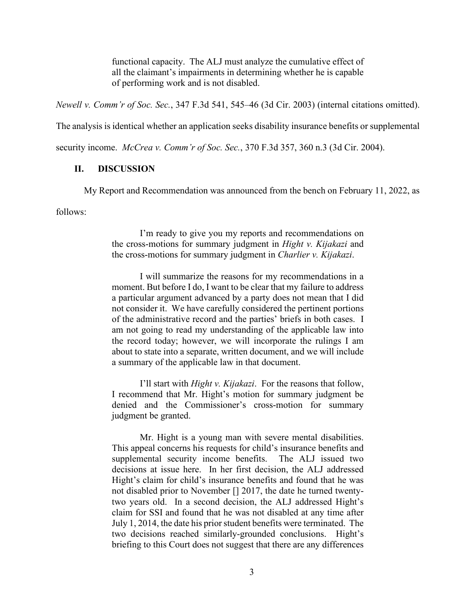functional capacity. The ALJ must analyze the cumulative effect of all the claimant's impairments in determining whether he is capable of performing work and is not disabled.

*Newell v. Comm'r of Soc. Sec.*, 347 F.3d 541, 545–46 (3d Cir. 2003) (internal citations omitted).

The analysis is identical whether an application seeks disability insurance benefits or supplemental

security income. *McCrea v. Comm'r of Soc. Sec.*, 370 F.3d 357, 360 n.3 (3d Cir. 2004).

## **II. DISCUSSION**

My Report and Recommendation was announced from the bench on February 11, 2022, as

follows:

I'm ready to give you my reports and recommendations on the cross-motions for summary judgment in *Hight v. Kijakazi* and the cross-motions for summary judgment in *Charlier v. Kijakazi*.

I will summarize the reasons for my recommendations in a moment. But before I do, I want to be clear that my failure to address a particular argument advanced by a party does not mean that I did not consider it. We have carefully considered the pertinent portions of the administrative record and the parties' briefs in both cases. I am not going to read my understanding of the applicable law into the record today; however, we will incorporate the rulings I am about to state into a separate, written document, and we will include a summary of the applicable law in that document.

I'll start with *Hight v. Kijakazi*. For the reasons that follow, I recommend that Mr. Hight's motion for summary judgment be denied and the Commissioner's cross-motion for summary judgment be granted.

Mr. Hight is a young man with severe mental disabilities. This appeal concerns his requests for child's insurance benefits and supplemental security income benefits. The ALJ issued two decisions at issue here. In her first decision, the ALJ addressed Hight's claim for child's insurance benefits and found that he was not disabled prior to November [] 2017, the date he turned twentytwo years old. In a second decision, the ALJ addressed Hight's claim for SSI and found that he was not disabled at any time after July 1, 2014, the date his prior student benefits were terminated. The two decisions reached similarly-grounded conclusions. Hight's briefing to this Court does not suggest that there are any differences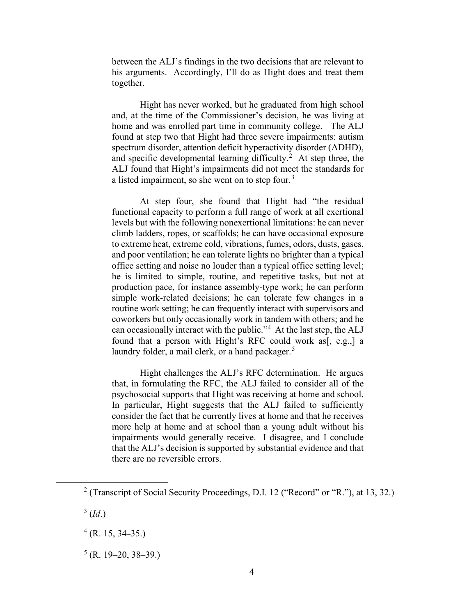between the ALJ's findings in the two decisions that are relevant to his arguments. Accordingly, I'll do as Hight does and treat them together.

Hight has never worked, but he graduated from high school and, at the time of the Commissioner's decision, he was living at home and was enrolled part time in community college. The ALJ found at step two that Hight had three severe impairments: autism spectrum disorder, attention deficit hyperactivity disorder (ADHD), and specific developmental learning difficulty.<sup>[2](#page-3-0)</sup> At step three, the ALJ found that Hight's impairments did not meet the standards for a listed impairment, so she went on to step four. $3$ 

At step four, she found that Hight had "the residual functional capacity to perform a full range of work at all exertional levels but with the following nonexertional limitations: he can never climb ladders, ropes, or scaffolds; he can have occasional exposure to extreme heat, extreme cold, vibrations, fumes, odors, dusts, gases, and poor ventilation; he can tolerate lights no brighter than a typical office setting and noise no louder than a typical office setting level; he is limited to simple, routine, and repetitive tasks, but not at production pace, for instance assembly-type work; he can perform simple work-related decisions; he can tolerate few changes in a routine work setting; he can frequently interact with supervisors and coworkers but only occasionally work in tandem with others; and he can occasionally interact with the public."[4](#page-3-2) At the last step, the ALJ found that a person with Hight's RFC could work as<sup>[, e.g.,]</sup> a laundry folder, a mail clerk, or a hand packager.<sup>[5](#page-3-3)</sup>

Hight challenges the ALJ's RFC determination. He argues that, in formulating the RFC, the ALJ failed to consider all of the psychosocial supports that Hight was receiving at home and school. In particular, Hight suggests that the ALJ failed to sufficiently consider the fact that he currently lives at home and that he receives more help at home and at school than a young adult without his impairments would generally receive. I disagree, and I conclude that the ALJ's decision is supported by substantial evidence and that there are no reversible errors.

<span id="page-3-0"></span><sup>&</sup>lt;sup>2</sup> (Transcript of Social Security Proceedings, D.I. 12 ("Record" or "R."), at 13, 32.)

<span id="page-3-1"></span> $3$  (*Id.*)

<span id="page-3-2"></span> $4$  (R. 15, 34–35.)

<span id="page-3-3"></span> $5$  (R. 19–20, 38–39.)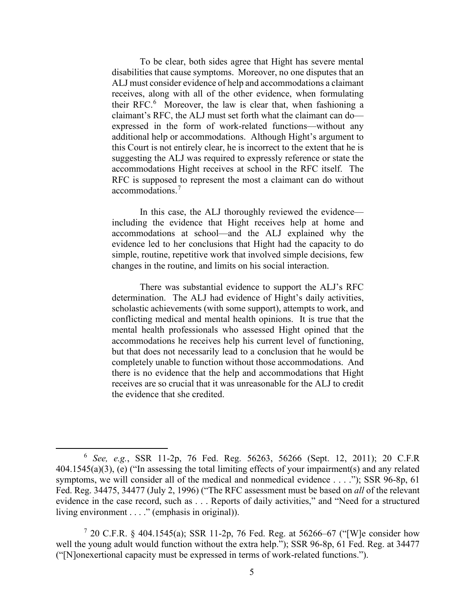To be clear, both sides agree that Hight has severe mental disabilities that cause symptoms. Moreover, no one disputes that an ALJ must consider evidence of help and accommodations a claimant receives, along with all of the other evidence, when formulating their RFC.<sup>[6](#page-4-0)</sup> Moreover, the law is clear that, when fashioning a claimant's RFC, the ALJ must set forth what the claimant can do expressed in the form of work-related functions—without any additional help or accommodations. Although Hight's argument to this Court is not entirely clear, he is incorrect to the extent that he is suggesting the ALJ was required to expressly reference or state the accommodations Hight receives at school in the RFC itself. The RFC is supposed to represent the most a claimant can do without accommodations.[7](#page-4-1)

In this case, the ALJ thoroughly reviewed the evidence including the evidence that Hight receives help at home and accommodations at school—and the ALJ explained why the evidence led to her conclusions that Hight had the capacity to do simple, routine, repetitive work that involved simple decisions, few changes in the routine, and limits on his social interaction.

There was substantial evidence to support the ALJ's RFC determination. The ALJ had evidence of Hight's daily activities, scholastic achievements (with some support), attempts to work, and conflicting medical and mental health opinions. It is true that the mental health professionals who assessed Hight opined that the accommodations he receives help his current level of functioning, but that does not necessarily lead to a conclusion that he would be completely unable to function without those accommodations. And there is no evidence that the help and accommodations that Hight receives are so crucial that it was unreasonable for the ALJ to credit the evidence that she credited.

<span id="page-4-0"></span><sup>6</sup> *See, e.g.*, SSR 11-2p, 76 Fed. Reg. 56263, 56266 (Sept. 12, 2011); 20 C.F.R 404.1545(a)(3), (e) ("In assessing the total limiting effects of your impairment(s) and any related symptoms, we will consider all of the medical and nonmedical evidence . . . ."); SSR 96-8p, 61 Fed. Reg. 34475, 34477 (July 2, 1996) ("The RFC assessment must be based on *all* of the relevant evidence in the case record, such as . . . Reports of daily activities," and "Need for a structured living environment . . . ." (emphasis in original)).

<span id="page-4-1"></span><sup>&</sup>lt;sup>7</sup> 20 C.F.R. § 404.1545(a); SSR 11-2p, 76 Fed. Reg. at 56266–67 ("[W]e consider how well the young adult would function without the extra help."); SSR 96-8p, 61 Fed. Reg. at 34477 ("[N]onexertional capacity must be expressed in terms of work-related functions.").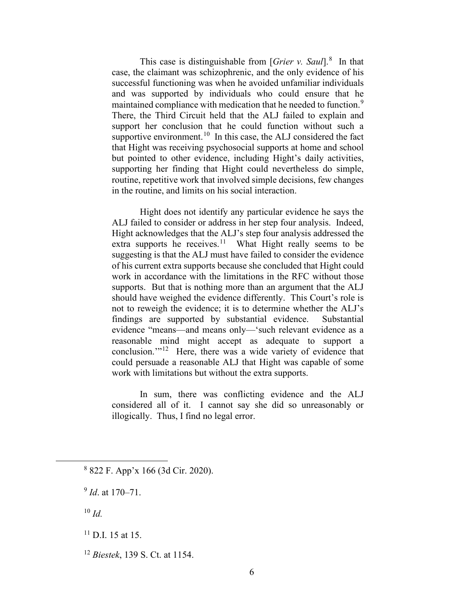This case is distinguishable from [*Grier v. Saul*]. [8](#page-5-0) In that case, the claimant was schizophrenic, and the only evidence of his successful functioning was when he avoided unfamiliar individuals and was supported by individuals who could ensure that he maintained compliance with medication that he needed to function.<sup>[9](#page-5-1)</sup> There, the Third Circuit held that the ALJ failed to explain and support her conclusion that he could function without such a supportive environment.<sup>[10](#page-5-2)</sup> In this case, the ALJ considered the fact that Hight was receiving psychosocial supports at home and school but pointed to other evidence, including Hight's daily activities, supporting her finding that Hight could nevertheless do simple, routine, repetitive work that involved simple decisions, few changes in the routine, and limits on his social interaction.

Hight does not identify any particular evidence he says the ALJ failed to consider or address in her step four analysis. Indeed, Hight acknowledges that the ALJ's step four analysis addressed the extra supports he receives.<sup>[11](#page-5-3)</sup> What Hight really seems to be suggesting is that the ALJ must have failed to consider the evidence of his current extra supports because she concluded that Hight could work in accordance with the limitations in the RFC without those supports. But that is nothing more than an argument that the ALJ should have weighed the evidence differently. This Court's role is not to reweigh the evidence; it is to determine whether the ALJ's findings are supported by substantial evidence. Substantial evidence "means—and means only—'such relevant evidence as a reasonable mind might accept as adequate to support a conclusion."<sup>[12](#page-5-4)</sup> Here, there was a wide variety of evidence that could persuade a reasonable ALJ that Hight was capable of some work with limitations but without the extra supports.

In sum, there was conflicting evidence and the ALJ considered all of it. I cannot say she did so unreasonably or illogically. Thus, I find no legal error.

<span id="page-5-2"></span><sup>10</sup> *Id.*

<span id="page-5-0"></span><sup>8</sup> 822 F. App'x 166 (3d Cir. 2020).

<span id="page-5-1"></span><sup>9</sup> *Id*. at 170–71.

<span id="page-5-3"></span> $11$  D.I. 15 at 15.

<span id="page-5-4"></span><sup>12</sup> *Biestek*, 139 S. Ct. at 1154.